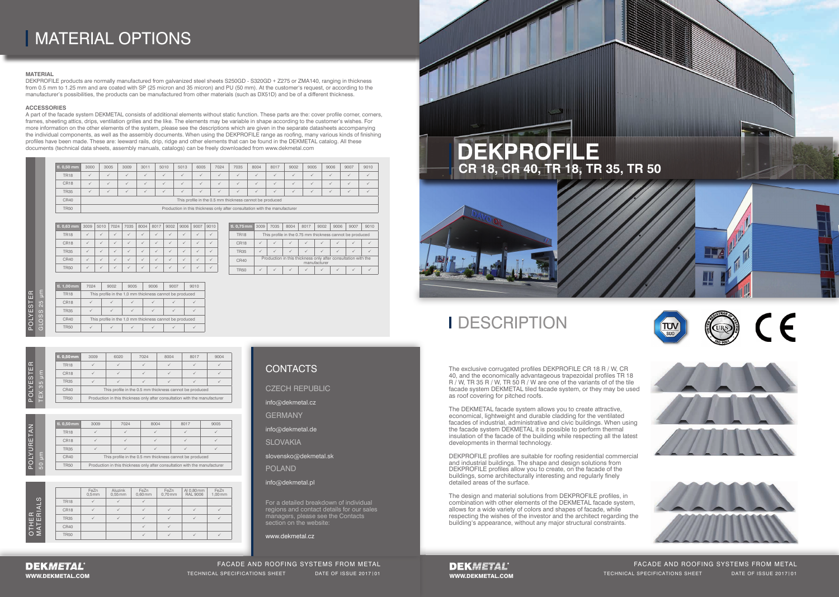The exclusive corrugated profiles DEKPROFILE CR 18 R / W, CR 40, and the economically advantageous trapezoidal profiles TR 18 R / W, TR 35 R / W, TR 50 R / W are one of the variants of of the tile facade system DEKMETAL tiled facade system, or they may be used as roof covering for pitched roofs.

DEKPROFILE profiles are suitable for roofing residential commercial and industrial buildings. The shape and design solutions from DEKPROFILE profiles allow you to create, on the facade of the buildings, some architecturally interesting and regularly finely detailed areas of the surface.

The DEKMETAL facade system allows you to create attractive, economical, lightweight and durable cladding for the ventilated facades of industrial, administrative and civic buildings. When using the facade system DEKMETAL it is possible to perform thermal insulation of the facade of the building while respecting all the latest developments in thermal technology.

The design and material solutions from DEKPROFILE profiles, in combination with other elements of the DEKMETAL facade system, allows for a wide variety of colors and shapes of facade, while respecting the wishes of the investor and the architect regarding the building's appearance, without any major structural constraints.

WWW.DEKMETAL.COM TECHNICAL SPECIFICATIONS SHEET DATE OF ISSUE 2017|01 WWW.DEKMETAL.COM TECHNICAL SPECIFICATIONS SHEET DATE OF ISSUE 2017|01 FACADE AND ROOFING SYSTEMS FROM METAL TECHNICAL SPECIFICATIONS SHEET DATE OF ISSUE 2017|01



## **I** DESCRIPTION

# MATERIAL OPTIONS

W

|                |                  | FeZn<br>0.5 <sub>mm</sub> | Aluzink<br>$0,55$ mm | FeZn<br>$0,60$ mm | FeZn<br>$0,70$ mm | Al 0,80 mm<br><b>RAL 9006</b> | FeZn<br>$1,00$ mm |
|----------------|------------------|---------------------------|----------------------|-------------------|-------------------|-------------------------------|-------------------|
| $\omega$       | <b>TR18</b>      |                           |                      |                   |                   |                               |                   |
| 딯              | CR <sub>18</sub> |                           |                      |                   |                   |                               |                   |
| œΞ<br>யய       | <b>TR35</b>      |                           |                      |                   |                   |                               |                   |
| ◀              | <b>CR40</b>      |                           |                      |                   |                   |                               |                   |
| $\circ$ $\geq$ | <b>TR50</b>      |                           |                      |                   |                   |                               |                   |

## **CONTACTS**

| ¢  |  |
|----|--|
|    |  |
| ū  |  |
| r. |  |
|    |  |
|    |  |
| r, |  |
|    |  |
|    |  |
|    |  |

|        |          | tl. 0,50 mm      | 3009                                                    | 6020 | 7024 | 8004                                                                       | 8017 | 9004 |  |  |  |  |
|--------|----------|------------------|---------------------------------------------------------|------|------|----------------------------------------------------------------------------|------|------|--|--|--|--|
| Œ<br>Ш |          | <b>TR18</b>      |                                                         |      |      |                                                                            |      |      |  |  |  |  |
|        | ε<br>Б   | CR <sub>18</sub> |                                                         |      |      |                                                                            |      |      |  |  |  |  |
| ၯ<br>ш | န္တု     | <b>TR35</b>      |                                                         |      |      |                                                                            |      |      |  |  |  |  |
|        | $\times$ | <b>CR40</b>      | This profile in the 0.5 mm thickness cannot be produced |      |      |                                                                            |      |      |  |  |  |  |
| ה      |          | <b>TR50</b>      |                                                         |      |      | Production in this thickness only after consultation with the manufacturer |      |      |  |  |  |  |
|        |          |                  |                                                         |      |      |                                                                            |      |      |  |  |  |  |

| ш      |                                            |
|--------|--------------------------------------------|
| ၯ      | $\overline{10}$<br>$\overline{\mathsf{N}}$ |
| m<br>≍ | $\Omega$<br>O                              |
|        |                                            |
|        |                                            |

| $\mid$ tl. 0,50 mm | 3000 | 3005                                                    | 3009 | 3011 | 5010 | 5013           | 6005         | 7024         | 7035 | 8004 | 8017 | 9002 | 9005 | 9006 | 9007           | 9010   |
|--------------------|------|---------------------------------------------------------|------|------|------|----------------|--------------|--------------|------|------|------|------|------|------|----------------|--------|
| <b>TR18</b>        |      |                                                         |      |      |      | $\overline{ }$ | $\sim$       | $\checkmark$ |      |      |      |      |      |      | $\overline{f}$ | $\sim$ |
| CR <sub>18</sub>   |      |                                                         |      |      |      | $\checkmark$   | $\checkmark$ | $\sim$       |      |      |      |      |      |      |                | $\sim$ |
| <b>TR35</b>        |      |                                                         |      |      |      |                | $\checkmark$ | $\checkmark$ |      |      |      |      |      |      |                |        |
| CR40               |      | This profile in the 0.5 mm thickness cannot be produced |      |      |      |                |              |              |      |      |      |      |      |      |                |        |
|                    |      |                                                         |      |      |      |                |              |              |      |      |      |      |      |      |                |        |

TR50 Production in this thickness only after consultation with the manufacturer

A part of the facade system DEKMETAL consists of additional elements without static function. These parts are the: cover profile corner, corners, frames, sheeting attics, drips, ventilation grilles and the like. The elements may be variable in shape according to the customer's wishes. For more information on the other elements of the system, please see the descriptions which are given in the separate datasheets accompanying the individual components, as well as the assembly documents. When using the DEKPROFILE range as roofing, many various kinds of finishing profiles have been made. These are: leeward rails, drip, ridge and other elements that can be found in the DEKMETAL catalog. All these documents (technical data sheets, assembly manuals, catalogs) can be freely downloaded from www.dekmetal.com

> DEKMETAL' WWW.DEKMETAL.COM





| tl. 0,63 mm | 3009         | 5010 | 7024 | 7035 | 8004 | 8017 | 9002 | 9006 | 9007 | 9010 |
|-------------|--------------|------|------|------|------|------|------|------|------|------|
| <b>TR18</b> | $\checkmark$ |      |      |      |      |      |      |      |      |      |
| CR18        |              |      |      |      |      |      |      |      |      |      |
| <b>TR35</b> |              |      |      |      |      |      |      |      |      |      |
| CR40        |              |      |      |      |      |      |      |      |      |      |
| <b>TR50</b> |              |      |      |      |      |      |      |      |      |      |

### **MATERIAL**

DEKPROFILE products are normally manufactured from galvanized steel sheets S250GD - S320GD + Z275 or ZMA140, ranging in thickness from 0.5 mm to 1.25 mm and are coated with SP (25 micron and 35 micron) and PU (50 mm). At the customer's request, or according to the manufacturer's possibilities, the products can be manufactured from other materials (such as DX51D) and be of a different thickness.

| tl. 0,75 mm      | 3009 | 7035                                                                          | 8004 | 8017 | 9002 | 9006 | 9007 | 9010 |  |  |  |
|------------------|------|-------------------------------------------------------------------------------|------|------|------|------|------|------|--|--|--|
| <b>TR18</b>      |      | This profile in the 0.75 mm thickness cannot be produced                      |      |      |      |      |      |      |  |  |  |
| CR <sub>18</sub> |      |                                                                               |      |      |      |      |      |      |  |  |  |
| <b>TR35</b>      |      |                                                                               |      |      |      |      |      |      |  |  |  |
| <b>CR40</b>      |      | Production in this thickness only after consultation with the<br>manufacturer |      |      |      |      |      |      |  |  |  |
| <b>TR50</b>      |      |                                                                               |      |      |      |      |      |      |  |  |  |

| tl. 1,00 mm      | 7024                                                    | 9002 | 9005 | 9006 | 9007 | 9010 |  |  |  |
|------------------|---------------------------------------------------------|------|------|------|------|------|--|--|--|
| <b>TR18</b>      | This profile in the 1,0 mm thickness cannot be produced |      |      |      |      |      |  |  |  |
| CR <sub>18</sub> |                                                         |      |      |      |      |      |  |  |  |
| <b>TR35</b>      |                                                         |      |      |      |      |      |  |  |  |
| <b>CR40</b>      | This profile in the 1,0 mm thickness cannot be produced |      |      |      |      |      |  |  |  |
| <b>TR50</b>      |                                                         |      |      |      |      |      |  |  |  |

| tl. 0,50 mm      | 3009                                                    | 7024<br>8004                                                               |  | 8017 | 9005 |  |  |  |  |
|------------------|---------------------------------------------------------|----------------------------------------------------------------------------|--|------|------|--|--|--|--|
| <b>TR18</b>      |                                                         |                                                                            |  |      |      |  |  |  |  |
| CR <sub>18</sub> |                                                         |                                                                            |  |      |      |  |  |  |  |
| <b>TR35</b>      |                                                         |                                                                            |  |      |      |  |  |  |  |
| CR40             | This profile in the 0.5 mm thickness cannot be produced |                                                                            |  |      |      |  |  |  |  |
| <b>TR50</b>      |                                                         | Production in this thickness only after consultation with the manufacturer |  |      |      |  |  |  |  |

#### **ACCESSORIES**

FACADE AND ROOFING SYSTEMS FROM METAL

For a detailed breakdown of individual regions and contact details for our sales managers, please see the Contacts section on the website:

www.dekmetal.cz

CZECH REPUBLIC

info@dekmetal.cz

**GERMANY** 

info@dekmetal.de

**SLOVAKIA** 

slovensko@dekmetal.sk

POLAND

### info@dekmetal.pl